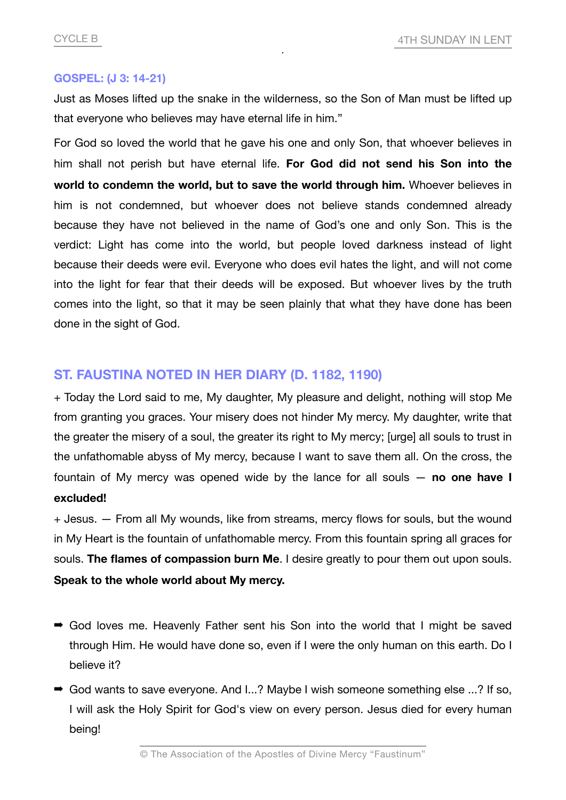## **GOSPEL: (J 3: 14-21)**

Just as Moses lifted up the snake in the wilderness, so the Son of Man must be lifted up that everyone who believes may have eternal life in him."

For God so loved the world that he gave his one and only Son, that whoever believes in him shall not perish but have eternal life. **For God did not send his Son into the world to condemn the world, but to save the world through him.** Whoever believes in him is not condemned, but whoever does not believe stands condemned already because they have not believed in the name of God's one and only Son. This is the verdict: Light has come into the world, but people loved darkness instead of light because their deeds were evil. Everyone who does evil hates the light, and will not come into the light for fear that their deeds will be exposed. But whoever lives by the truth comes into the light, so that it may be seen plainly that what they have done has been done in the sight of God.

## **ST. FAUSTINA NOTED IN HER DIARY (D. 1182, 1190)**

+ Today the Lord said to me, My daughter, My pleasure and delight, nothing will stop Me from granting you graces. Your misery does not hinder My mercy. My daughter, write that the greater the misery of a soul, the greater its right to My mercy; [urge] all souls to trust in the unfathomable abyss of My mercy, because I want to save them all. On the cross, the fountain of My mercy was opened wide by the lance for all souls — **no one have I excluded!**

+ Jesus. — From all My wounds, like from streams, mercy flows for souls, but the wound in My Heart is the fountain of unfathomable mercy. From this fountain spring all graces for souls. **The flames of compassion burn Me**. I desire greatly to pour them out upon souls. **Speak to the whole world about My mercy.**

- ➡ God loves me. Heavenly Father sent his Son into the world that I might be saved through Him. He would have done so, even if I were the only human on this earth. Do I believe it?
- God wants to save everyone. And I...? Maybe I wish someone something else ...? If so, I will ask the Holy Spirit for God's view on every person. Jesus died for every human being!